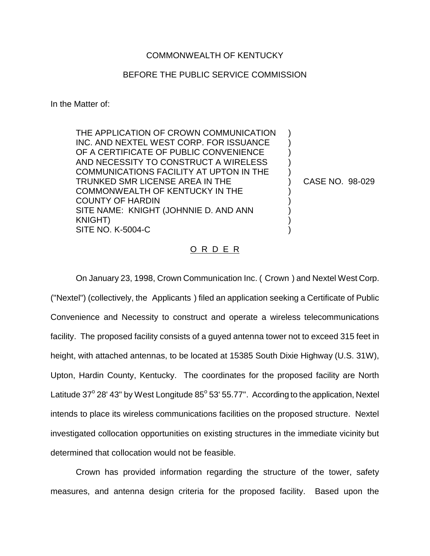## COMMONWEALTH OF KENTUCKY

## BEFORE THE PUBLIC SERVICE COMMISSION

In the Matter of:

THE APPLICATION OF CROWN COMMUNICATION INC. AND NEXTEL WEST CORP. FOR ISSUANCE OF A CERTIFICATE OF PUBLIC CONVENIENCE AND NECESSITY TO CONSTRUCT A WIRELESS COMMUNICATIONS FACILITY AT UPTON IN THE TRUNKED SMR LICENSE AREA IN THE COMMONWEALTH OF KENTUCKY IN THE COUNTY OF HARDIN SITE NAME: KNIGHT (JOHNNIE D. AND ANN KNIGHT) SITE NO. K-5004-C

CASE NO. 98-029

) ) ) ) ) ) ) ) ) ) )

## O R D E R

On January 23, 1998, Crown Communication Inc. ( Crown ) and Nextel West Corp. ("Nextel") (collectively, the Applicants ) filed an application seeking a Certificate of Public Convenience and Necessity to construct and operate a wireless telecommunications facility. The proposed facility consists of a guyed antenna tower not to exceed 315 feet in height, with attached antennas, to be located at 15385 South Dixie Highway (U.S. 31W), Upton, Hardin County, Kentucky. The coordinates for the proposed facility are North Latitude  $37^{\circ}$  28' 43" by West Longitude  $85^{\circ}$  53' 55.77". According to the application, Nextel intends to place its wireless communications facilities on the proposed structure. Nextel investigated collocation opportunities on existing structures in the immediate vicinity but determined that collocation would not be feasible.

Crown has provided information regarding the structure of the tower, safety measures, and antenna design criteria for the proposed facility. Based upon the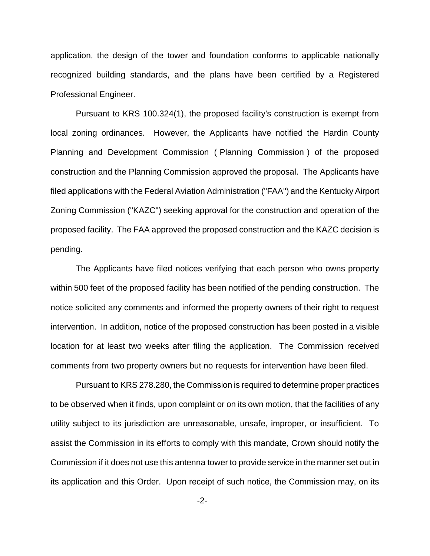application, the design of the tower and foundation conforms to applicable nationally recognized building standards, and the plans have been certified by a Registered Professional Engineer.

Pursuant to KRS 100.324(1), the proposed facility's construction is exempt from local zoning ordinances. However, the Applicants have notified the Hardin County Planning and Development Commission ( Planning Commission ) of the proposed construction and the Planning Commission approved the proposal. The Applicants have filed applications with the Federal Aviation Administration ("FAA") and the Kentucky Airport Zoning Commission ("KAZC") seeking approval for the construction and operation of the proposed facility. The FAA approved the proposed construction and the KAZC decision is pending.

The Applicants have filed notices verifying that each person who owns property within 500 feet of the proposed facility has been notified of the pending construction. The notice solicited any comments and informed the property owners of their right to request intervention. In addition, notice of the proposed construction has been posted in a visible location for at least two weeks after filing the application. The Commission received comments from two property owners but no requests for intervention have been filed.

Pursuant to KRS 278.280, the Commission is required to determine proper practices to be observed when it finds, upon complaint or on its own motion, that the facilities of any utility subject to its jurisdiction are unreasonable, unsafe, improper, or insufficient. To assist the Commission in its efforts to comply with this mandate, Crown should notify the Commission if it does not use this antenna tower to provide service in the manner set out in its application and this Order. Upon receipt of such notice, the Commission may, on its

-2-